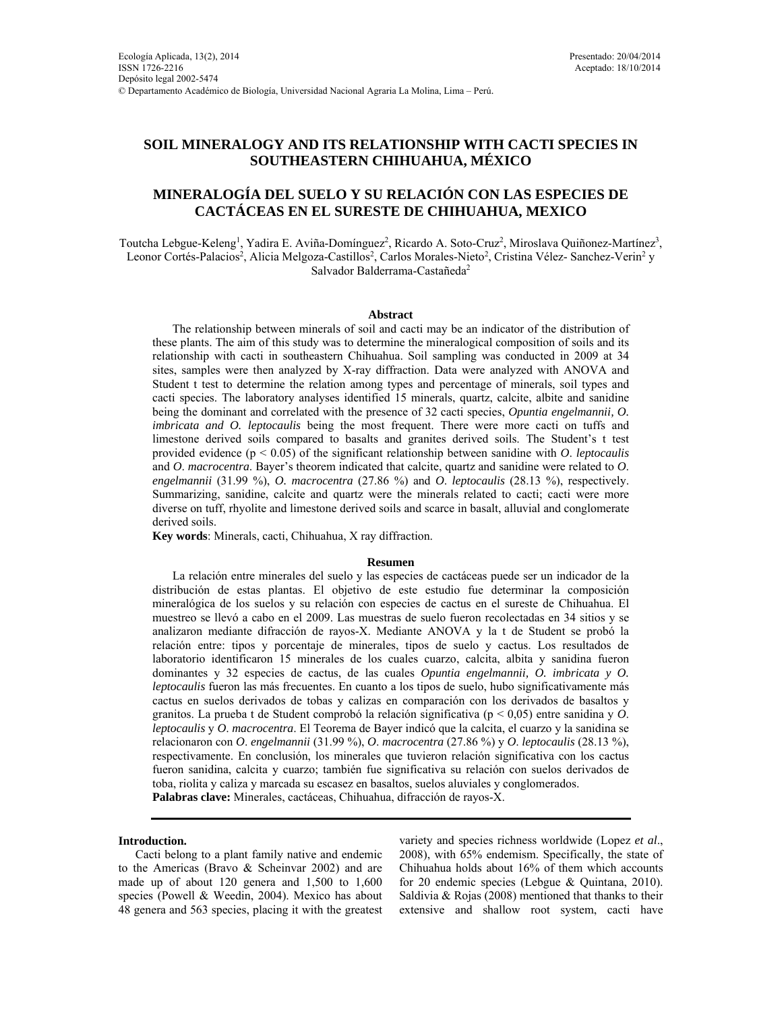# **SOIL MINERALOGY AND ITS RELATIONSHIP WITH CACTI SPECIES IN SOUTHEASTERN CHIHUAHUA, MÉXICO**

# **MINERALOGÍA DEL SUELO Y SU RELACIÓN CON LAS ESPECIES DE CACTÁCEAS EN EL SURESTE DE CHIHUAHUA, MEXICO**

Toutcha Lebgue-Keleng<sup>1</sup>, Yadira E. Aviña-Domínguez<sup>2</sup>, Ricardo A. Soto-Cruz<sup>2</sup>, Miroslava Quiñonez-Martínez<sup>3</sup>, Leonor Cortés-Palacios<sup>2</sup>, Alicia Melgoza-Castillos<sup>2</sup>, Carlos Morales-Nieto<sup>2</sup>, Cristina Vélez- Sanchez-Verin<sup>2</sup> y Salvador Balderrama-Castañeda<sup>2</sup>

# **Abstract**

The relationship between minerals of soil and cacti may be an indicator of the distribution of these plants. The aim of this study was to determine the mineralogical composition of soils and its relationship with cacti in southeastern Chihuahua. Soil sampling was conducted in 2009 at 34 sites, samples were then analyzed by X-ray diffraction. Data were analyzed with ANOVA and Student t test to determine the relation among types and percentage of minerals, soil types and cacti species. The laboratory analyses identified 15 minerals, quartz, calcite, albite and sanidine being the dominant and correlated with the presence of 32 cacti species, *Opuntia engelmannii, O. imbricata and O. leptocaulis* being the most frequent. There were more cacti on tuffs and limestone derived soils compared to basalts and granites derived soils. The Student's t test provided evidence (p < 0.05) of the significant relationship between sanidine with *O*. *leptocaulis* and *O*. *macrocentra*. Bayer's theorem indicated that calcite, quartz and sanidine were related to *O*. *engelmannii* (31.99 %), *O. macrocentra* (27.86 %) and *O*. *leptocaulis* (28.13 %), respectively. Summarizing, sanidine, calcite and quartz were the minerals related to cacti; cacti were more diverse on tuff, rhyolite and limestone derived soils and scarce in basalt, alluvial and conglomerate derived soils.

**Key words**: Minerals, cacti, Chihuahua, X ray diffraction.

### **Resumen**

La relación entre minerales del suelo y las especies de cactáceas puede ser un indicador de la distribución de estas plantas. El objetivo de este estudio fue determinar la composición mineralógica de los suelos y su relación con especies de cactus en el sureste de Chihuahua. El muestreo se llevó a cabo en el 2009. Las muestras de suelo fueron recolectadas en 34 sitios y se analizaron mediante difracción de rayos-X. Mediante ANOVA y la t de Student se probó la relación entre: tipos y porcentaje de minerales, tipos de suelo y cactus. Los resultados de laboratorio identificaron 15 minerales de los cuales cuarzo, calcita, albita y sanidina fueron dominantes y 32 especies de cactus, de las cuales *Opuntia engelmannii, O. imbricata y O. leptocaulis* fueron las más frecuentes. En cuanto a los tipos de suelo, hubo significativamente más cactus en suelos derivados de tobas y calizas en comparación con los derivados de basaltos y granitos. La prueba t de Student comprobó la relación significativa (p < 0,05) entre sanidina y *O*. *leptocaulis* y *O*. *macrocentra*. El Teorema de Bayer indicó que la calcita, el cuarzo y la sanidina se relacionaron con *O*. *engelmannii* (31.99 %), *O*. *macrocentra* (27.86 %) y *O*. *leptocaulis* (28.13 %), respectivamente. En conclusión, los minerales que tuvieron relación significativa con los cactus fueron sanidina, calcita y cuarzo; también fue significativa su relación con suelos derivados de toba, riolita y caliza y marcada su escasez en basaltos, suelos aluviales y conglomerados. **Palabras clave:** Minerales, cactáceas, Chihuahua, difracción de rayos-X.

### **Introduction.**

Cacti belong to a plant family native and endemic to the Americas (Bravo & Scheinvar 2002) and are made up of about 120 genera and 1,500 to 1,600 species (Powell & Weedin, 2004). Mexico has about 48 genera and 563 species, placing it with the greatest variety and species richness worldwide (Lopez *et al*., 2008), with 65% endemism. Specifically, the state of Chihuahua holds about 16% of them which accounts for 20 endemic species (Lebgue & Quintana, 2010). Saldivia  $& Rojas (2008)$  mentioned that thanks to their extensive and shallow root system, cacti have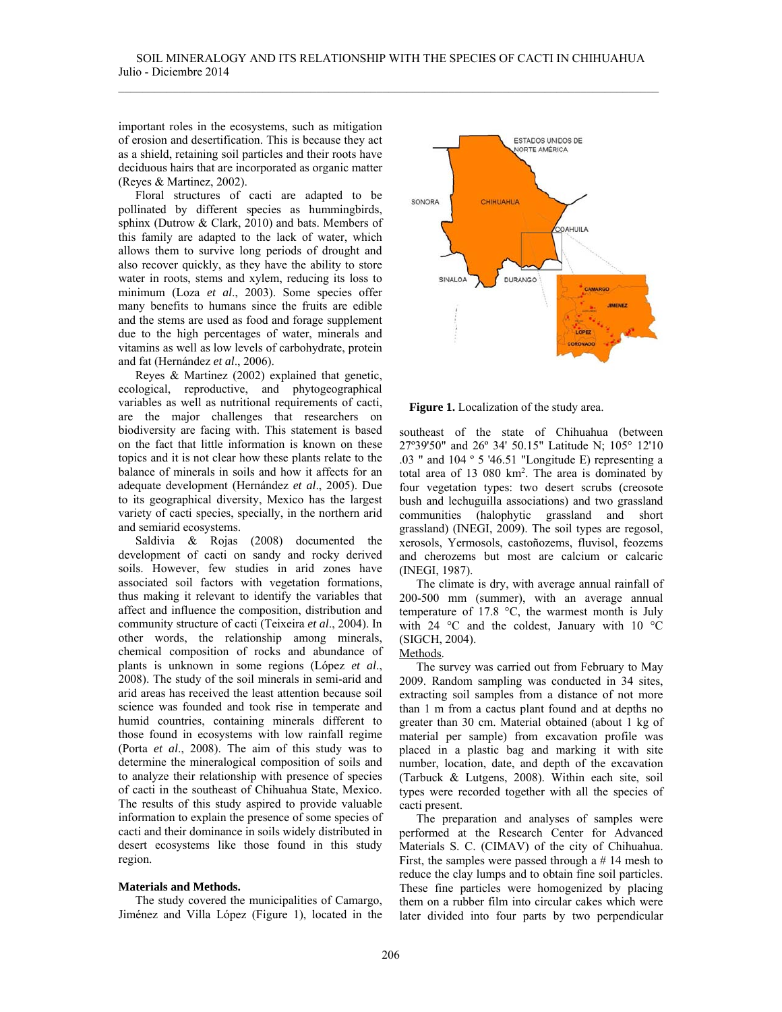important roles in the ecosystems, such as mitigation of erosion and desertification. This is because they act as a shield, retaining soil particles and their roots have deciduous hairs that are incorporated as organic matter (Reyes & Martinez, 2002).

Floral structures of cacti are adapted to be pollinated by different species as hummingbirds, sphinx (Dutrow & Clark, 2010) and bats. Members of this family are adapted to the lack of water, which allows them to survive long periods of drought and also recover quickly, as they have the ability to store water in roots, stems and xylem, reducing its loss to minimum (Loza *et al*., 2003). Some species offer many benefits to humans since the fruits are edible and the stems are used as food and forage supplement due to the high percentages of water, minerals and vitamins as well as low levels of carbohydrate, protein and fat (Hernández *et al*., 2006).

Reyes & Martinez (2002) explained that genetic, ecological, reproductive, and phytogeographical variables as well as nutritional requirements of cacti, are the major challenges that researchers on biodiversity are facing with. This statement is based on the fact that little information is known on these topics and it is not clear how these plants relate to the balance of minerals in soils and how it affects for an adequate development (Hernández *et al*., 2005). Due to its geographical diversity, Mexico has the largest variety of cacti species, specially, in the northern arid and semiarid ecosystems.

Saldivia & Rojas (2008) documented the development of cacti on sandy and rocky derived soils. However, few studies in arid zones have associated soil factors with vegetation formations, thus making it relevant to identify the variables that affect and influence the composition, distribution and community structure of cacti (Teixeira *et al*., 2004). In other words, the relationship among minerals, chemical composition of rocks and abundance of plants is unknown in some regions (López *et al*., 2008). The study of the soil minerals in semi-arid and arid areas has received the least attention because soil science was founded and took rise in temperate and humid countries, containing minerals different to those found in ecosystems with low rainfall regime (Porta *et al*., 2008). The aim of this study was to determine the mineralogical composition of soils and to analyze their relationship with presence of species of cacti in the southeast of Chihuahua State, Mexico. The results of this study aspired to provide valuable information to explain the presence of some species of cacti and their dominance in soils widely distributed in desert ecosystems like those found in this study region.

## **Materials and Methods.**

The study covered the municipalities of Camargo, Jiménez and Villa López (Figure 1), located in the





southeast of the state of Chihuahua (between 27º39'50" and 26º 34' 50.15" Latitude N; 105° 12'10 .03 " and 104 º 5 '46.51 "Longitude E) representing a total area of 13 080 km2 . The area is dominated by four vegetation types: two desert scrubs (creosote bush and lechuguilla associations) and two grassland communities (halophytic grassland and short grassland) (INEGI, 2009). The soil types are regosol, xerosols, Yermosols, castoñozems, fluvisol, feozems and cherozems but most are calcium or calcaric (INEGI, 1987).

The climate is dry, with average annual rainfall of 200-500 mm (summer), with an average annual temperature of 17.8 °C, the warmest month is July with 24 °C and the coldest, January with 10 °C (SIGCH, 2004).

# Methods.

The survey was carried out from February to May 2009. Random sampling was conducted in 34 sites, extracting soil samples from a distance of not more than 1 m from a cactus plant found and at depths no greater than 30 cm. Material obtained (about 1 kg of material per sample) from excavation profile was placed in a plastic bag and marking it with site number, location, date, and depth of the excavation (Tarbuck & Lutgens, 2008). Within each site, soil types were recorded together with all the species of cacti present.

The preparation and analyses of samples were performed at the Research Center for Advanced Materials S. C. (CIMAV) of the city of Chihuahua. First, the samples were passed through a  $# 14$  mesh to reduce the clay lumps and to obtain fine soil particles. These fine particles were homogenized by placing them on a rubber film into circular cakes which were later divided into four parts by two perpendicular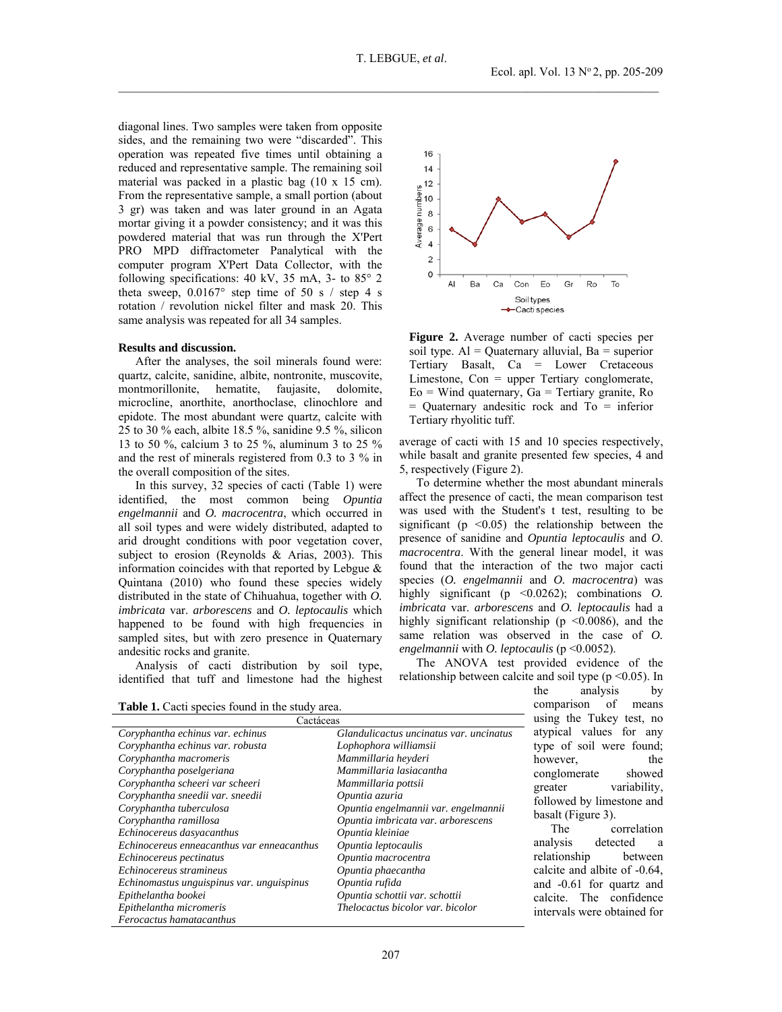diagonal lines. Two samples were taken from opposite sides, and the remaining two were "discarded". This operation was repeated five times until obtaining a reduced and representative sample. The remaining soil material was packed in a plastic bag (10 x 15 cm). From the representative sample, a small portion (about 3 gr) was taken and was later ground in an Agata mortar giving it a powder consistency; and it was this powdered material that was run through the X'Pert PRO MPD diffractometer Panalytical with the computer program X'Pert Data Collector, with the following specifications: 40 kV, 35 mA, 3- to 85° 2 theta sweep,  $0.0167^{\circ}$  step time of 50 s / step 4 s rotation / revolution nickel filter and mask 20. This same analysis was repeated for all 34 samples.

### **Results and discussion.**

After the analyses, the soil minerals found were: quartz, calcite, sanidine, albite, nontronite, muscovite, montmorillonite, hematite, faujasite, dolomite, microcline, anorthite, anorthoclase, clinochlore and epidote. The most abundant were quartz, calcite with 25 to 30 % each, albite 18.5 %, sanidine 9.5 %, silicon 13 to 50 %, calcium 3 to 25 %, aluminum 3 to 25 % and the rest of minerals registered from 0.3 to 3 % in the overall composition of the sites.

In this survey, 32 species of cacti (Table 1) were identified, the most common being *Opuntia engelmannii* and *O. macrocentra*, which occurred in all soil types and were widely distributed, adapted to arid drought conditions with poor vegetation cover, subject to erosion (Reynolds & Arias, 2003). This information coincides with that reported by Lebgue & Quintana (2010) who found these species widely distributed in the state of Chihuahua, together with *O. imbricata* var. *arborescens* and *O. leptocaulis* which happened to be found with high frequencies in sampled sites, but with zero presence in Quaternary andesitic rocks and granite.

Analysis of cacti distribution by soil type, identified that tuff and limestone had the highest



**Figure 2.** Average number of cacti species per soil type.  $Al =$  Quaternary alluvial,  $Ba =$  superior Tertiary Basalt, Ca = Lower Cretaceous Limestone, Con = upper Tertiary conglomerate,  $E_0$  = Wind quaternary,  $Ga$  = Tertiary granite, Ro = Quaternary andesitic rock and To = inferior Tertiary rhyolitic tuff.

average of cacti with 15 and 10 species respectively, while basalt and granite presented few species, 4 and 5, respectively (Figure 2).

To determine whether the most abundant minerals affect the presence of cacti, the mean comparison test was used with the Student's t test, resulting to be significant ( $p \leq 0.05$ ) the relationship between the presence of sanidine and *Opuntia leptocaulis* and *O*. *macrocentra*. With the general linear model, it was found that the interaction of the two major cacti species (*O. engelmannii* and *O. macrocentra*) was highly significant (p <0.0262); combinations *O*. *imbricata* var. *arborescens* and *O. leptocaulis* had a highly significant relationship ( $p \le 0.0086$ ), and the same relation was observed in the case of *O. engelmannii* with *O. leptocaulis* (p <0.0052).

The ANOVA test provided evidence of the relationship between calcite and soil type ( $p \le 0.05$ ). In

**Table 1.** Cacti species found in the study area.

| Cactáceas                                  |                                         |  |  |  |
|--------------------------------------------|-----------------------------------------|--|--|--|
| Coryphantha echinus var. echinus           | Glandulicactus uncinatus var. uncinatus |  |  |  |
| Coryphantha echinus var. robusta           | Lophophora williamsii                   |  |  |  |
| Coryphantha macromeris                     | Mammillaria heyderi                     |  |  |  |
| Coryphantha poselgeriana                   | Mammillaria lasiacantha                 |  |  |  |
| Coryphantha scheeri var scheeri            | Mammillaria pottsii                     |  |  |  |
| Coryphantha sneedii var. sneedii           | Opuntia azuria                          |  |  |  |
| Coryphantha tuberculosa                    | Opuntia engelmannii var. engelmannii    |  |  |  |
| Coryphantha ramillosa                      | Opuntia imbricata var. arborescens      |  |  |  |
| Echinocereus dasyacanthus                  | Opuntia kleiniae                        |  |  |  |
| Echinocereus enneacanthus var enneacanthus | Opuntia leptocaulis                     |  |  |  |
| Echinocereus pectinatus                    | Opuntia macrocentra                     |  |  |  |
| Echinocereus stramineus                    | Opuntia phaecantha                      |  |  |  |
| Echinomastus unguispinus var. unguispinus  | Opuntia rufida                          |  |  |  |
| Epithelantha bookei                        | Opuntia schottii var. schottii          |  |  |  |
| Epithelantha micromeris                    | Thelocactus bicolor var. bicolor        |  |  |  |
| Ferocactus hamatacanthus                   |                                         |  |  |  |

the analysis by comparison of means using the Tukey test, no atypical values for any type of soil were found; however, the conglomerate showed greater variability, followed by limestone and basalt (Figure 3).

The correlation analysis detected a relationship between calcite and albite of -0.64, and -0.61 for quartz and calcite. The confidence intervals were obtained for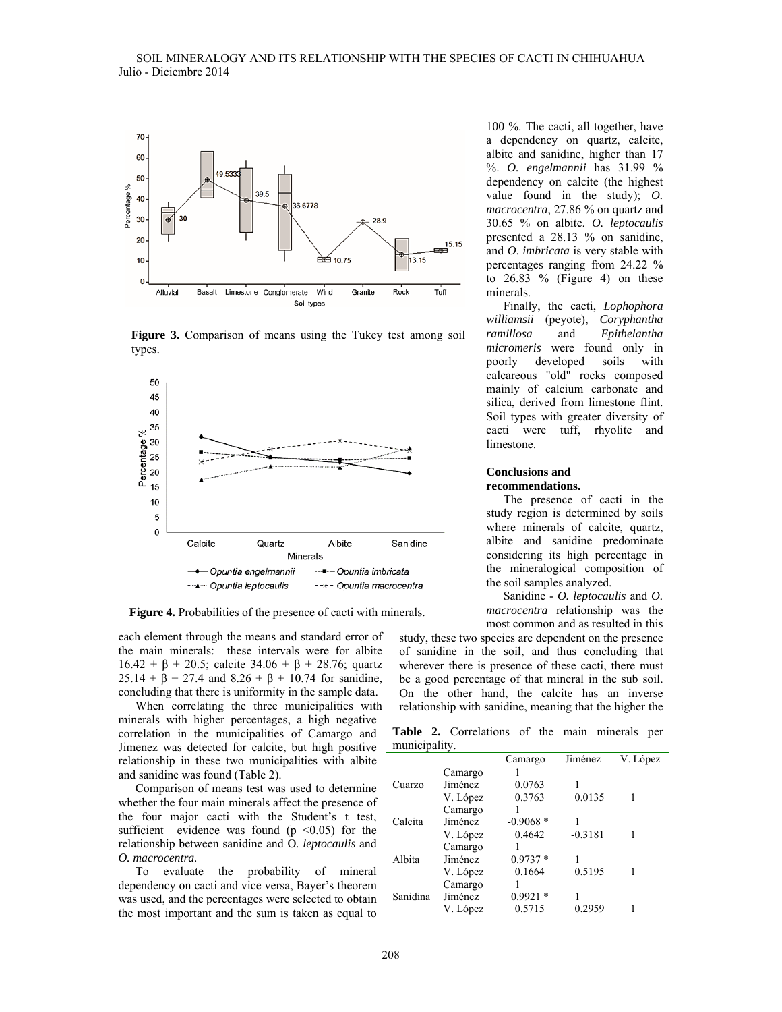

**Figure 3.** Comparison of means using the Tukey test among soil types.



**Figure 4.** Probabilities of the presence of cacti with minerals.

each element through the means and standard error of the main minerals: these intervals were for albite 16.42  $\pm$  β  $\pm$  20.5; calcite 34.06  $\pm$  β  $\pm$  28.76; quartz 25.14  $\pm$  β  $\pm$  27.4 and 8.26  $\pm$  β  $\pm$  10.74 for sanidine, concluding that there is uniformity in the sample data.

When correlating the three municipalities with minerals with higher percentages, a high negative correlation in the municipalities of Camargo and Jimenez was detected for calcite, but high positive relationship in these two municipalities with albite and sanidine was found (Table 2).

Comparison of means test was used to determine whether the four main minerals affect the presence of the four major cacti with the Student's t test, sufficient evidence was found  $(p \le 0.05)$  for the relationship between sanidine and O*. leptocaulis* and *O. macrocentra.* 

To evaluate the probability of mineral dependency on cacti and vice versa, Bayer's theorem was used, and the percentages were selected to obtain the most important and the sum is taken as equal to

100 %. The cacti, all together, have a dependency on quartz, calcite, albite and sanidine, higher than 17 %. *O. engelmannii* has 31.99 % dependency on calcite (the highest value found in the study); *O. macrocentra*, 27.86 % on quartz and 30.65 % on albite. *O. leptocaulis* presented a 28.13 % on sanidine, and *O*. *imbricata* is very stable with percentages ranging from 24.22 % to  $26.83 \%$  (Figure 4) on these minerals.

Finally, the cacti, *Lophophora williamsii* (peyote), *Coryphantha ramillosa* and *Epithelantha micromeris* were found only in poorly developed soils with calcareous "old" rocks composed mainly of calcium carbonate and silica, derived from limestone flint. Soil types with greater diversity of cacti were tuff, rhyolite and limestone.

## **Conclusions and recommendations.**

The presence of cacti in the study region is determined by soils where minerals of calcite, quartz, albite and sanidine predominate considering its high percentage in the mineralogical composition of the soil samples analyzed.

Sanidine - *O. leptocaulis* and *O. macrocentra* relationship was the most common and as resulted in this

study, these two species are dependent on the presence of sanidine in the soil, and thus concluding that wherever there is presence of these cacti, there must be a good percentage of that mineral in the sub soil. On the other hand, the calcite has an inverse relationship with sanidine, meaning that the higher the

**Table 2.** Correlations of the main minerals per municipality.

|          |          | Camargo    | Jiménez   | V. López |
|----------|----------|------------|-----------|----------|
|          | Camargo  |            |           |          |
| Cuarzo   | Jiménez  | 0.0763     |           |          |
|          | V. López | 0.3763     | 0.0135    |          |
| Calcita  | Camargo  |            |           |          |
|          | Jiménez  | $-0.9068*$ |           |          |
|          | V. López | 0.4642     | $-0.3181$ |          |
| Albita   | Camargo  |            |           |          |
|          | Jiménez  | $0.9737*$  |           |          |
|          | V. López | 0.1664     | 0.5195    |          |
| Sanidina | Camargo  |            |           |          |
|          | Jiménez  | $0.9921*$  |           |          |
|          | V. López | 0.5715     | 0.2959    |          |